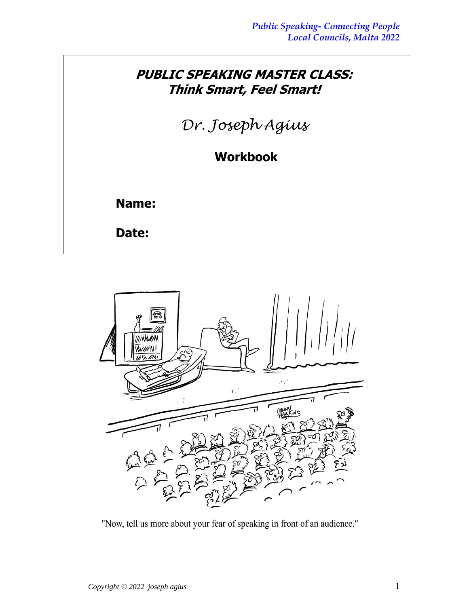# **PUBLIC SPEAKING MASTER CLASS: Think Smart, Feel Smart!**

*Dr. Joseph Agius*

# **Workbook**

**Name:**

**Date:**



"Now, tell us more about your fear of speaking in front of an audience."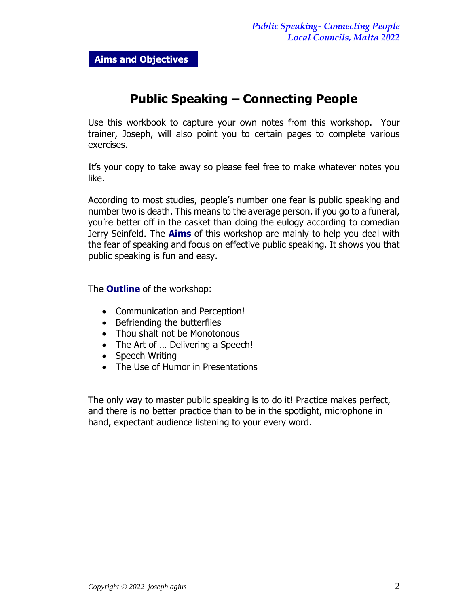**Aims and Objectives**

# **Public Speaking – Connecting People**

Use this workbook to capture your own notes from this workshop. Your trainer, Joseph, will also point you to certain pages to complete various exercises.

It's your copy to take away so please feel free to make whatever notes you like.

According to most studies, people's number one fear is public speaking and number two is death. This means to the average person, if you go to a funeral, you're better off in the casket than doing the eulogy according to comedian Jerry Seinfeld. The **Aims** of this workshop are mainly to help you deal with the fear of speaking and focus on effective public speaking. It shows you that public speaking is fun and easy.

The **Outline** of the workshop:

- Communication and Perception!
- Befriending the butterflies
- Thou shalt not be Monotonous
- The Art of ... Delivering a Speech!
- Speech Writing
- The Use of Humor in Presentations

The only way to master public speaking is to do it! Practice makes perfect, and there is no better practice than to be in the spotlight, microphone in hand, expectant audience listening to your every word.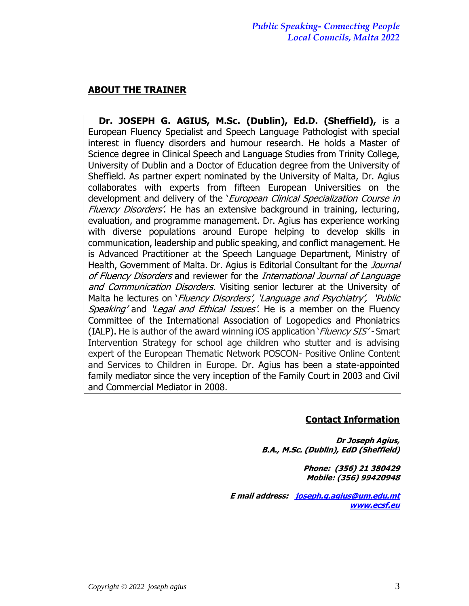# **ABOUT THE TRAINER**

 **Dr. JOSEPH G. AGIUS, M.Sc. (Dublin), Ed.D. (Sheffield),** is a European Fluency Specialist and Speech Language Pathologist with special interest in fluency disorders and humour research. He holds a Master of Science degree in Clinical Speech and Language Studies from Trinity College, University of Dublin and a Doctor of Education degree from the University of Sheffield. As partner expert nominated by the University of Malta, Dr. Agius collaborates with experts from fifteen European Universities on the development and delivery of the '*European Clinical Specialization Course in* Fluency Disorders'. He has an extensive background in training, lecturing, evaluation, and programme management. Dr. Agius has experience working with diverse populations around Europe helping to develop skills in communication, leadership and public speaking, and conflict management. He is Advanced Practitioner at the Speech Language Department, Ministry of Health, Government of Malta. Dr. Agius is Editorial Consultant for the *Journal* of Fluency Disorders and reviewer for the International Journal of Language and Communication Disorders. Visiting senior lecturer at the University of Malta he lectures on '*Fluency Disorders'*, 'Language and Psychiatry', 'Public Speaking' and 'Legal and Ethical Issues'. He is a member on the Fluency Committee of the International Association of Logopedics and Phoniatrics (IALP). He is author of the award winning iOS application '*Fluency SIS'* - Smart Intervention Strategy for school age children who stutter and is advising expert of the European Thematic Network POSCON- Positive Online Content and Services to Children in Europe. Dr. Agius has been a state-appointed family mediator since the very inception of the Family Court in 2003 and Civil and Commercial Mediator in 2008.

## **Contact Information**

**Dr Joseph Agius, B.A., M.Sc. (Dublin), EdD (Sheffield)**

> **Phone: (356) 21 380429 Mobile: (356) 99420948**

**E mail address: [joseph.g.agius@um.edu.mt](mailto:joseph.g.agius@um.edu.mt) [www.ecsf.eu](http://www.ecsf.eu/)**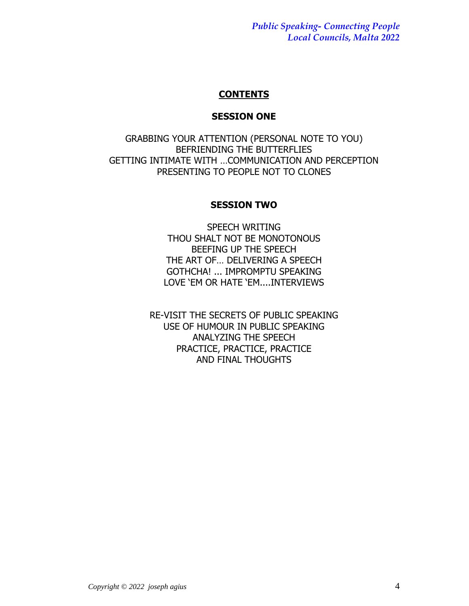#### **CONTENTS**

#### **SESSION ONE**

GRABBING YOUR ATTENTION (PERSONAL NOTE TO YOU) BEFRIENDING THE BUTTERFLIES GETTING INTIMATE WITH …COMMUNICATION AND PERCEPTION PRESENTING TO PEOPLE NOT TO CLONES

#### **SESSION TWO**

SPEECH WRITING THOU SHALT NOT BE MONOTONOUS BEEFING UP THE SPEECH THE ART OF… DELIVERING A SPEECH GOTHCHA! ... IMPROMPTU SPEAKING LOVE 'EM OR HATE 'EM....INTERVIEWS

RE-VISIT THE SECRETS OF PUBLIC SPEAKING USE OF HUMOUR IN PUBLIC SPEAKING ANALYZING THE SPEECH PRACTICE, PRACTICE, PRACTICE AND FINAL THOUGHTS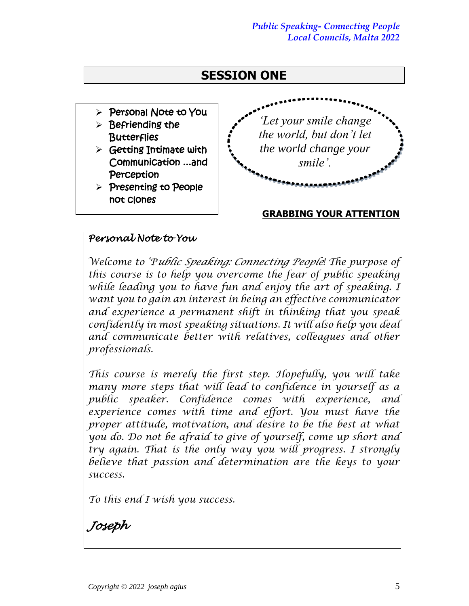

# *Personal Note to You*

*Welcome to 'Public Speaking: Connecting People! The purpose of this course is to help you overcome the fear of public speaking while leading you to have fun and enjoy the art of speaking. I want you to gain an interest in being an effective communicator and experience a permanent shift in thinking that you speak confidently in most speaking situations. It will also help you deal and communicate better with relatives, colleagues and other professionals.* 

*This course is merely the first step. Hopefully, you will take many more steps that will lead to confidence in yourself as a public speaker. Confidence comes with experience, and experience comes with time and effort. You must have the proper attitude, motivation, and desire to be the best at what you do. Do not be afraid to give of yourself, come up short and try again. That is the only way you will progress. I strongly believe that passion and determination are the keys to your success.* 

*To this end I wish you success.*

*Joseph*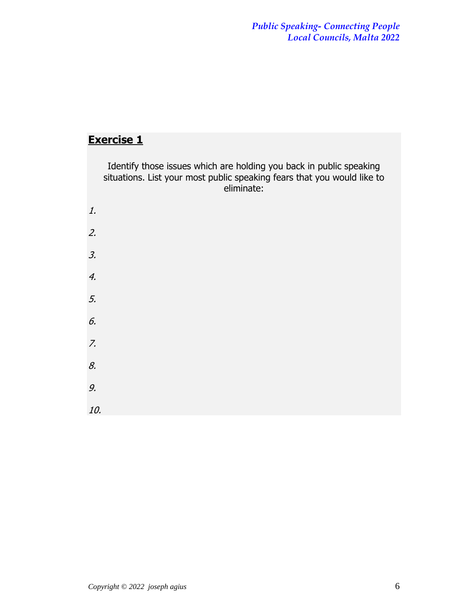# **Exercise 1**

|     | Identify those issues which are holding you back in public speaking<br>situations. List your most public speaking fears that you would like to<br>eliminate: |
|-----|--------------------------------------------------------------------------------------------------------------------------------------------------------------|
| 1.  |                                                                                                                                                              |
| 2.  |                                                                                                                                                              |
| 3.  |                                                                                                                                                              |
| 4.  |                                                                                                                                                              |
| 5.  |                                                                                                                                                              |
| 6.  |                                                                                                                                                              |
| 7.  |                                                                                                                                                              |
| 8.  |                                                                                                                                                              |
| 9.  |                                                                                                                                                              |
| 10. |                                                                                                                                                              |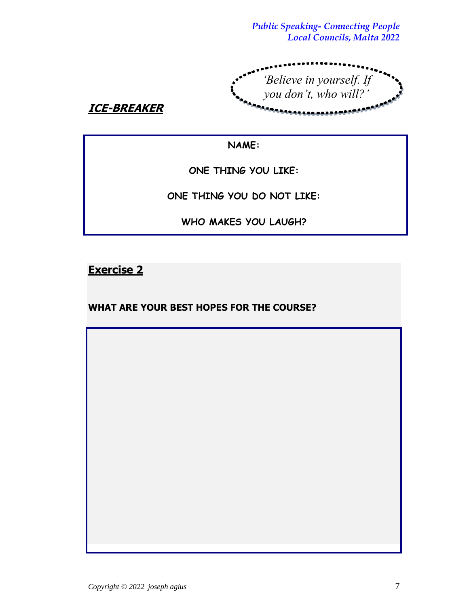

**ICE-BREAKER**

**NAME:**

**ONE THING YOU LIKE:**

**ONE THING YOU DO NOT LIKE:**

**WHO MAKES YOU LAUGH?**

**Exercise 2**

**WHAT ARE YOUR BEST HOPES FOR THE COURSE?**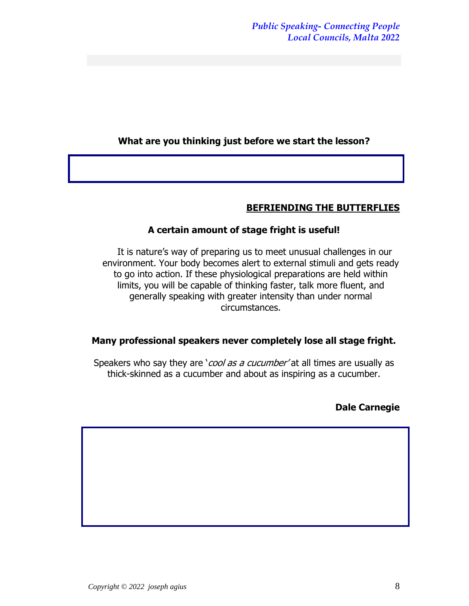# **What are you thinking just before we start the lesson?**

# **BEFRIENDING THE BUTTERFLIES**

## **A certain amount of stage fright is useful!**

It is nature's way of preparing us to meet unusual challenges in our environment. Your body becomes alert to external stimuli and gets ready to go into action. If these physiological preparations are held within limits, you will be capable of thinking faster, talk more fluent, and generally speaking with greater intensity than under normal circumstances.

# **Many professional speakers never completely lose all stage fright.**

Speakers who say they are 'cool as a cucumber' at all times are usually as thick-skinned as a cucumber and about as inspiring as a cucumber.

**Dale Carnegie**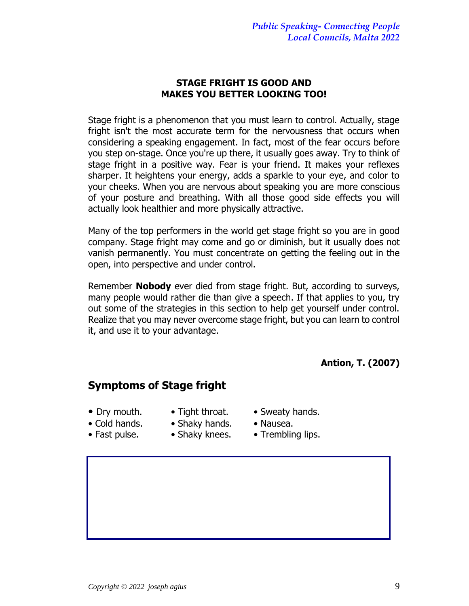## **STAGE FRIGHT IS GOOD AND MAKES YOU BETTER LOOKING TOO!**

Stage fright is a phenomenon that you must learn to control. Actually, stage fright isn't the most accurate term for the nervousness that occurs when considering a speaking engagement. In fact, most of the fear occurs before you step on-stage. Once you're up there, it usually goes away. Try to think of stage fright in a positive way. Fear is your friend. It makes your reflexes sharper. It heightens your energy, adds a sparkle to your eye, and color to your cheeks. When you are nervous about speaking you are more conscious of your posture and breathing. With all those good side effects you will actually look healthier and more physically attractive.

Many of the top performers in the world get stage fright so you are in good company. Stage fright may come and go or diminish, but it usually does not vanish permanently. You must concentrate on getting the feeling out in the open, into perspective and under control.

Remember **Nobody** ever died from stage fright. But, according to surveys, many people would rather die than give a speech. If that applies to you, try out some of the strategies in this section to help get yourself under control. Realize that you may never overcome stage fright, but you can learn to control it, and use it to your advantage.

**Antion, T. (2007)**

# **Symptoms of Stage fright**

- 
- 
- Cold hands. Shaky hands. Nausea.
	- -
- Dry mouth. Tight throat. Sweaty hands.
	-
- Fast pulse. Shaky knees. Trembling lips.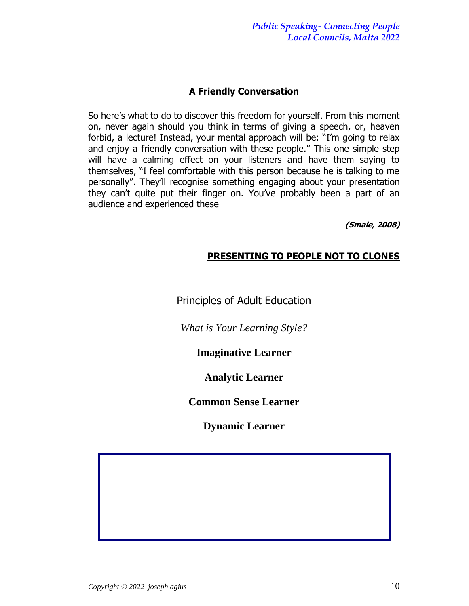#### **A Friendly Conversation**

So here's what to do to discover this freedom for yourself. From this moment on, never again should you think in terms of giving a speech, or, heaven forbid, a lecture! Instead, your mental approach will be: "I'm going to relax and enjoy a friendly conversation with these people." This one simple step will have a calming effect on your listeners and have them saying to themselves, "I feel comfortable with this person because he is talking to me personally". They'll recognise something engaging about your presentation they can't quite put their finger on. You've probably been a part of an audience and experienced these

**(Smale, 2008)**

## **PRESENTING TO PEOPLE NOT TO CLONES**

Principles of Adult Education

*What is Your Learning Style?*

**Imaginative Learner**

**Analytic Learner**

**Common Sense Learner**

**Dynamic Learner**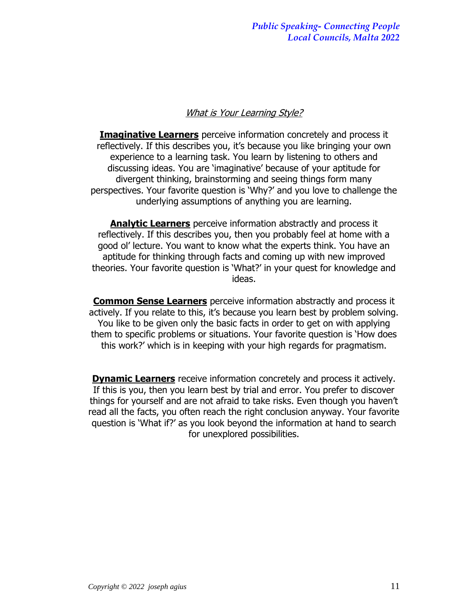#### What is Your Learning Style?

**Imaginative Learners** perceive information concretely and process it reflectively. If this describes you, it's because you like bringing your own experience to a learning task. You learn by listening to others and discussing ideas. You are 'imaginative' because of your aptitude for divergent thinking, brainstorming and seeing things form many perspectives. Your favorite question is 'Why?' and you love to challenge the underlying assumptions of anything you are learning.

**Analytic Learners** perceive information abstractly and process it reflectively. If this describes you, then you probably feel at home with a good ol' lecture. You want to know what the experts think. You have an aptitude for thinking through facts and coming up with new improved theories. Your favorite question is 'What?' in your quest for knowledge and ideas.

**Common Sense Learners** perceive information abstractly and process it actively. If you relate to this, it's because you learn best by problem solving. You like to be given only the basic facts in order to get on with applying them to specific problems or situations. Your favorite question is 'How does this work?' which is in keeping with your high regards for pragmatism.

**Dynamic Learners** receive information concretely and process it actively. If this is you, then you learn best by trial and error. You prefer to discover things for yourself and are not afraid to take risks. Even though you haven't read all the facts, you often reach the right conclusion anyway. Your favorite question is 'What if?' as you look beyond the information at hand to search for unexplored possibilities.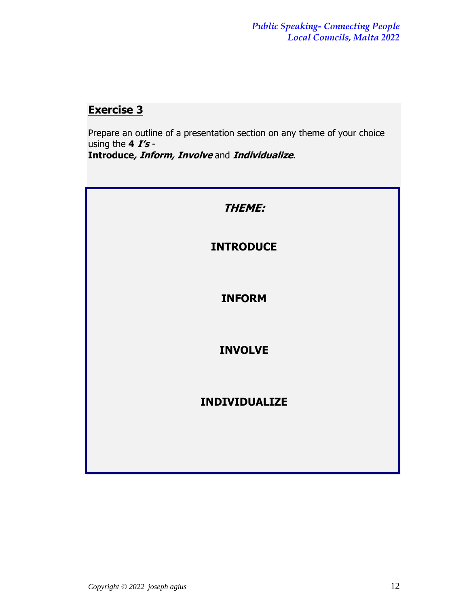# **Exercise 3**

Prepare an outline of a presentation section on any theme of your choice using the **4 I's** - **Introduce, Inform, Involve** and **Individualize**.

| <b>THEME:</b>        |
|----------------------|
| <b>INTRODUCE</b>     |
| <b>INFORM</b>        |
| <b>INVOLVE</b>       |
| <b>INDIVIDUALIZE</b> |
|                      |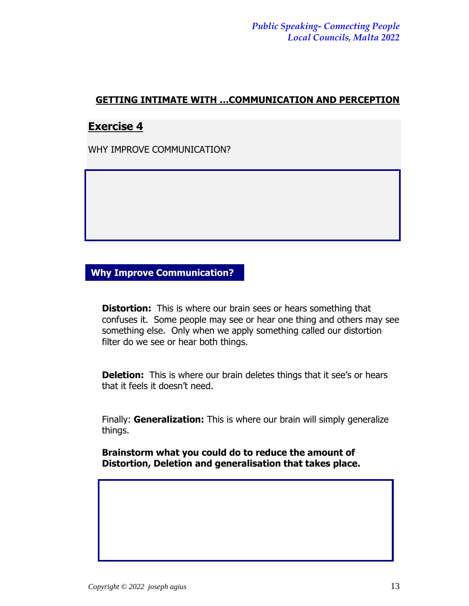# **GETTING INTIMATE WITH …COMMUNICATION AND PERCEPTION**

# **Exercise 4**

WHY IMPROVE COMMUNICATION?

**Why Improve Communication?**

**Distortion:** This is where our brain sees or hears something that confuses it. Some people may see or hear one thing and others may see something else. Only when we apply something called our distortion filter do we see or hear both things.

**Deletion:** This is where our brain deletes things that it see's or hears that it feels it doesn't need.

Finally: **Generalization:** This is where our brain will simply generalize things.

**Brainstorm what you could do to reduce the amount of Distortion, Deletion and generalisation that takes place.**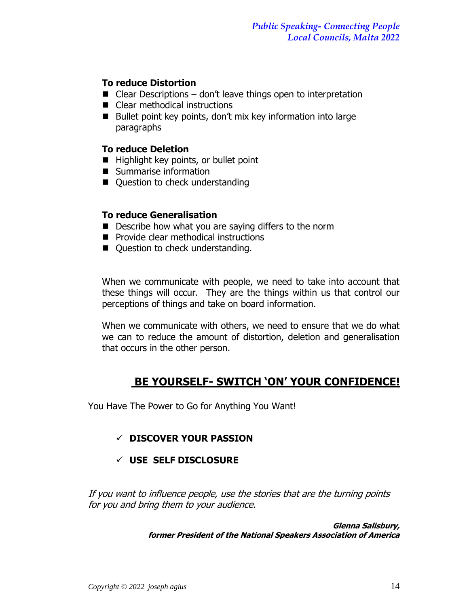## **To reduce Distortion**

- $\blacksquare$  Clear Descriptions don't leave things open to interpretation
- Clear methodical instructions
- Bullet point key points, don't mix key information into large paragraphs

### **To reduce Deletion**

- Highlight key points, or bullet point
- Summarise information
- Ouestion to check understanding

#### **To reduce Generalisation**

- Describe how what you are saying differs to the norm
- Provide clear methodical instructions
- Ouestion to check understanding.

When we communicate with people, we need to take into account that these things will occur. They are the things within us that control our perceptions of things and take on board information.

When we communicate with others, we need to ensure that we do what we can to reduce the amount of distortion, deletion and generalisation that occurs in the other person.

# **BE YOURSELF- SWITCH 'ON' YOUR CONFIDENCE!**

You Have The Power to Go for Anything You Want!

# ✓ **DISCOVER YOUR PASSION**

## ✓ **USE SELF DISCLOSURE**

If you want to influence people, use the stories that are the turning points for you and bring them to your audience.

> **Glenna Salisbury, former President of the National Speakers Association of America**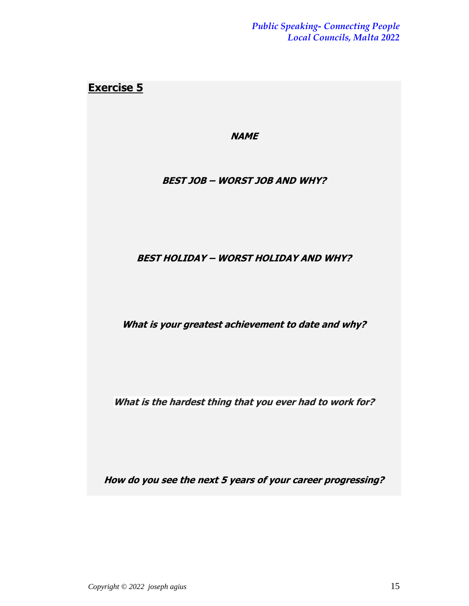**Exercise 5**

**NAME**

**BEST JOB – WORST JOB AND WHY?**

**BEST HOLIDAY – WORST HOLIDAY AND WHY?**

**What is your greatest achievement to date and why?**

**What is the hardest thing that you ever had to work for?**

**How do you see the next 5 years of your career progressing?**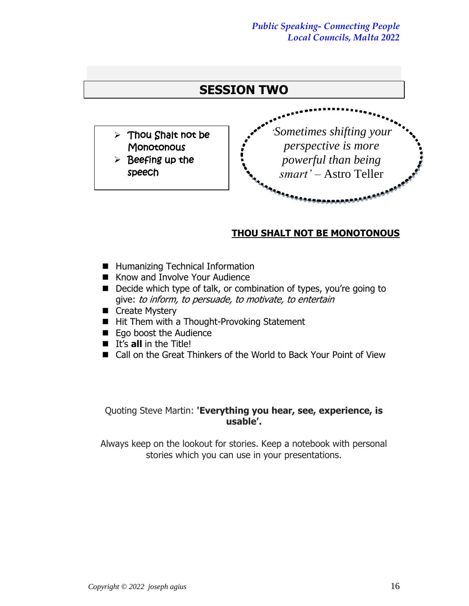# **SESSION TWO**

- $\triangleright$  Thou Shalt not be **Monotonous**
- $\triangleright$  Beefing up the speech

*'Sometimes shifting you perspective is more powerful than being smart'* – Astro Teller

# **THOU SHALT NOT BE MONOTONOUS**

- Humanizing Technical Information
- Know and Involve Your Audience
- Decide which type of talk, or combination of types, you're going to give: to inform, to persuade, to motivate, to entertain
- Create Mystery
- Hit Them with a Thought-Provoking Statement
- Ego boost the Audience
- It's **all** in the Title!
- Call on the Great Thinkers of the World to Back Your Point of View

#### Quoting Steve Martin: **'Everything you hear, see, experience, is usable'.**

Always keep on the lookout for stories. Keep a notebook with personal stories which you can use in your presentations.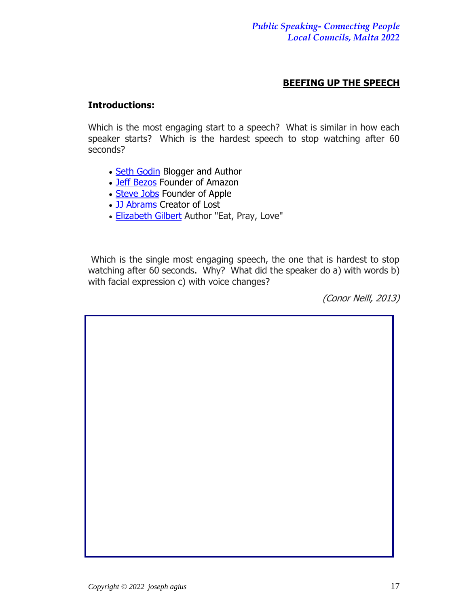## **BEEFING UP THE SPEECH**

## **Introductions:**

Which is the most engaging start to a speech? What is similar in how each speaker starts? Which is the hardest speech to stop watching after 60 seconds?

- **[Seth Godin](http://clicks.aweber.com/y/ct/?l=174wjb&m=3xjhGEUzG8XvRC_&b=aDHQNir6_L8zHag9ctUGcQ)** Blogger and Author
- [Jeff Bezos](http://clicks.aweber.com/y/ct/?l=174wjb&m=3xjhGEUzG8XvRC_&b=An.ovR6Dm1YwsVMseDAcKQ) Founder of Amazon
- **[Steve Jobs](http://clicks.aweber.com/y/ct/?l=174wjb&m=3xjhGEUzG8XvRC_&b=fULSJLjRBL2x905DcXhZgw)** Founder of Apple
- [JJ Abrams](http://clicks.aweber.com/y/ct/?l=174wjb&m=3xjhGEUzG8XvRC_&b=D4TN9AVI.EpCgBY6Vg8WJg) Creator of Lost
- [Elizabeth Gilbert](http://clicks.aweber.com/y/ct/?l=174wjb&m=3xjhGEUzG8XvRC_&b=d1G1XAQj28ncHnL4oO7blA) Author "Eat, Pray, Love"

Which is the single most engaging speech, the one that is hardest to stop watching after 60 seconds. Why? What did the speaker do a) with words b) with facial expression c) with voice changes?

(Conor Neill, 2013)

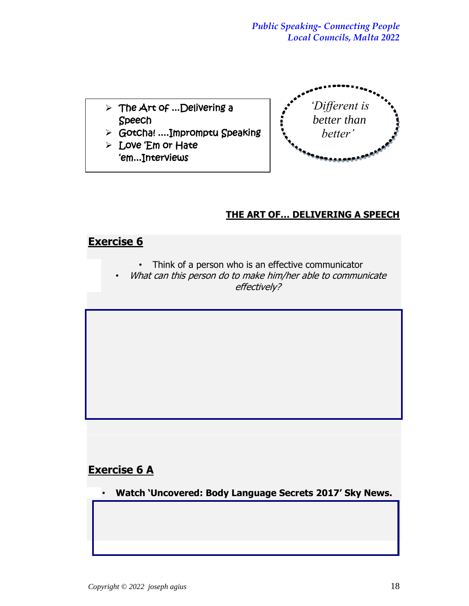- ➢ The Art of ...Delivering a Speech
- ➢ Gotcha! ....Impromptu Speaking
- ➢ Love 'Em or Hate 'em...Interviews



## **THE ART OF… DELIVERING A SPEECH**

# **Exercise 6**

- Think of a person who is an effective communicator
- What can this person do to make him/her able to communicate effectively?

# **Exercise 6 A**

• **Watch 'Uncovered: Body Language Secrets 2017' Sky News.**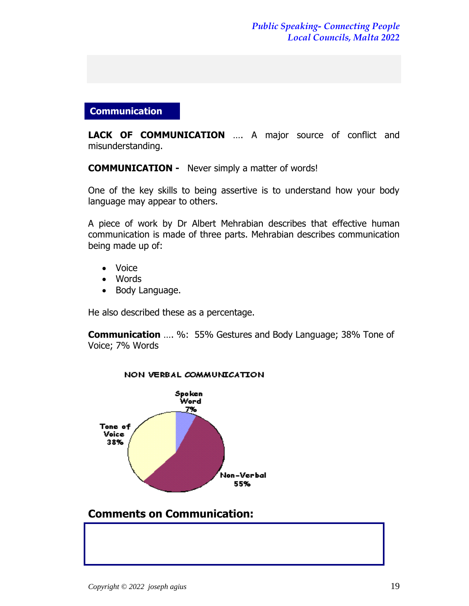### **Communication**

**LACK OF COMMUNICATION** …. A major source of conflict and misunderstanding.

**COMMUNICATION -** Never simply a matter of words!

One of the key skills to being assertive is to understand how your body language may appear to others.

A piece of work by Dr Albert Mehrabian describes that effective human communication is made of three parts. Mehrabian describes communication being made up of:

- Voice
- Words
- Body Language.

He also described these as a percentage.

**Communication** …. %: 55% Gestures and Body Language; 38% Tone of Voice; 7% Words



#### NON VERBAL COMMUNICATION

# **Comments on Communication:**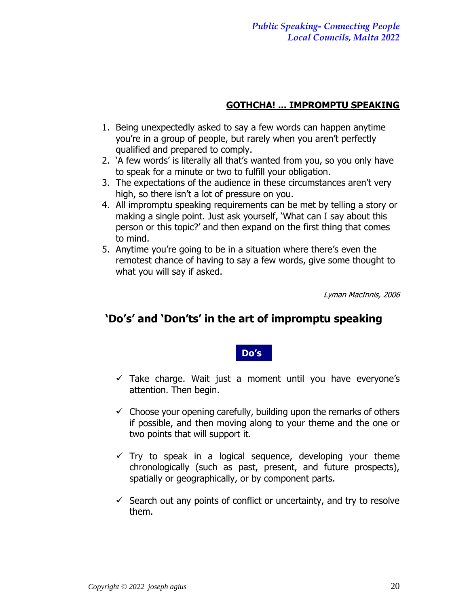# **GOTHCHA! ... IMPROMPTU SPEAKING**

- 1. Being unexpectedly asked to say a few words can happen anytime you're in a group of people, but rarely when you aren't perfectly qualified and prepared to comply.
- 2. 'A few words' is literally all that's wanted from you, so you only have to speak for a minute or two to fulfill your obligation.
- 3. The expectations of the audience in these circumstances aren't very high, so there isn't a lot of pressure on you.
- 4. All impromptu speaking requirements can be met by telling a story or making a single point. Just ask yourself, 'What can I say about this person or this topic?' and then expand on the first thing that comes to mind.
- 5. Anytime you're going to be in a situation where there's even the remotest chance of having to say a few words, give some thought to what you will say if asked.

Lyman MacInnis, 2006

# **'Do's' and 'Don'ts' in the art of impromptu speaking**

# **Do's**

- $\checkmark$  Take charge. Wait just a moment until you have everyone's attention. Then begin.
- $\checkmark$  Choose your opening carefully, building upon the remarks of others if possible, and then moving along to your theme and the one or two points that will support it.
- $\checkmark$  Try to speak in a logical sequence, developing your theme chronologically (such as past, present, and future prospects), spatially or geographically, or by component parts.
- $\checkmark$  Search out any points of conflict or uncertainty, and try to resolve them.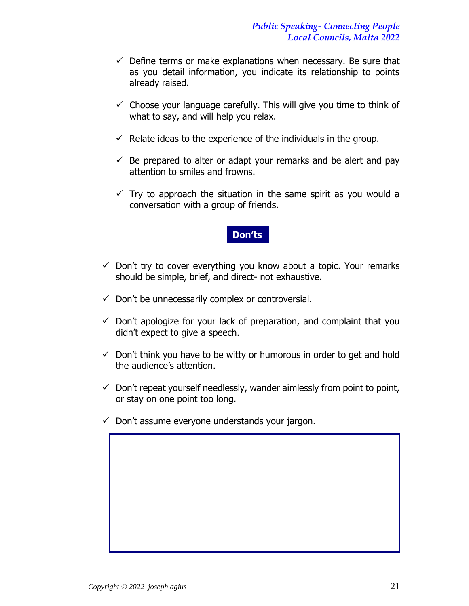- $\checkmark$  Define terms or make explanations when necessary. Be sure that as you detail information, you indicate its relationship to points already raised.
- $\checkmark$  Choose your language carefully. This will give you time to think of what to say, and will help you relax.
- $\checkmark$  Relate ideas to the experience of the individuals in the group.
- $\checkmark$  Be prepared to alter or adapt your remarks and be alert and pay attention to smiles and frowns.
- $\checkmark$  Try to approach the situation in the same spirit as you would a conversation with a group of friends.

# **Don'ts**

- $\checkmark$  Don't try to cover everything you know about a topic. Your remarks should be simple, brief, and direct- not exhaustive.
- $\checkmark$  Don't be unnecessarily complex or controversial.
- $\checkmark$  Don't apologize for your lack of preparation, and complaint that you didn't expect to give a speech.
- $\checkmark$  Don't think you have to be witty or humorous in order to get and hold the audience's attention.
- $\checkmark$  Don't repeat yourself needlessly, wander aimlessly from point to point, or stay on one point too long.
- $\checkmark$  Don't assume everyone understands your jargon.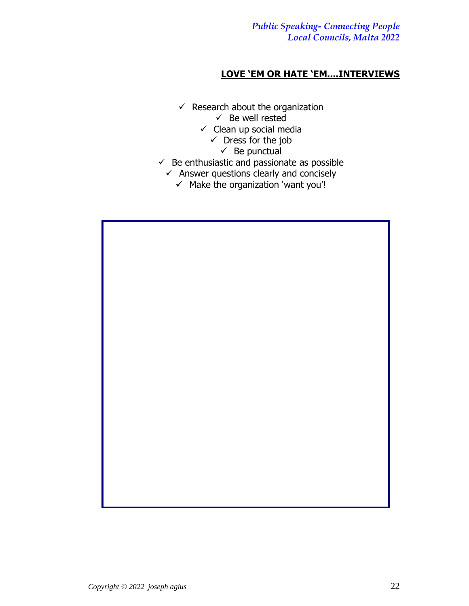# **LOVE 'EM OR HATE 'EM....INTERVIEWS**

- $\checkmark$  Research about the organization
	- $\checkmark$  Be well rested
	- $\checkmark$  Clean up social media
		- $\checkmark$  Dress for the job
			- $\checkmark$  Be punctual
- $\checkmark$  Be enthusiastic and passionate as possible
	- $\checkmark$  Answer questions clearly and concisely
		- $\checkmark$  Make the organization 'want you'!

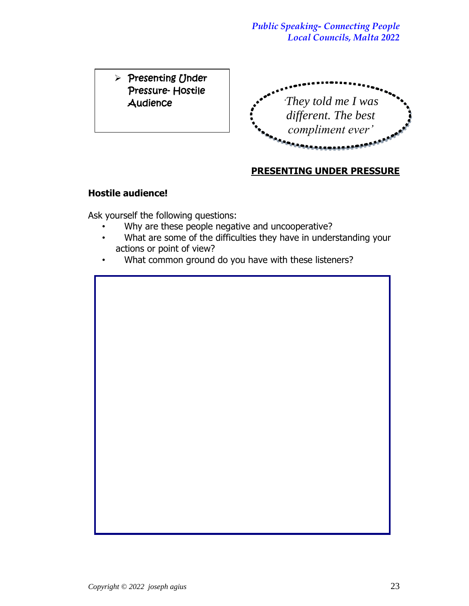➢ Presenting Under Pressure- Hostile **Audience** 

*'They told me I was different. The best compliment ever'*

#### **PRESENTING UNDER PRESSURE**

#### **Hostile audience!**

Ask yourself the following questions:

- Why are these people negative and uncooperative?
- What are some of the difficulties they have in understanding your actions or point of view?
- What common ground do you have with these listeners?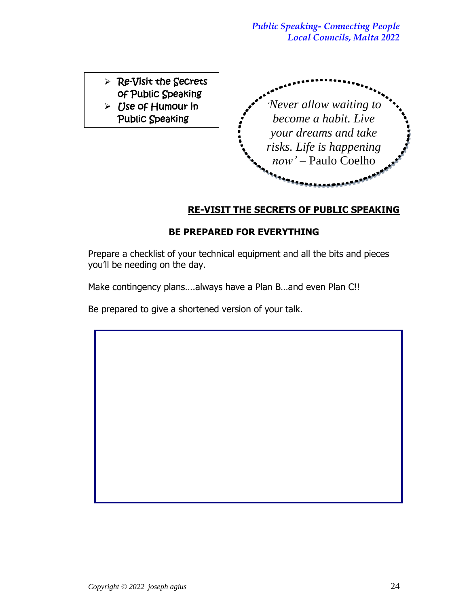

# **RE-VISIT THE SECRETS OF PUBLIC SPEAKING**

## **BE PREPARED FOR EVERYTHING**

Prepare a checklist of your technical equipment and all the bits and pieces you'll be needing on the day.

Make contingency plans….always have a Plan B…and even Plan C!!

Be prepared to give a shortened version of your talk.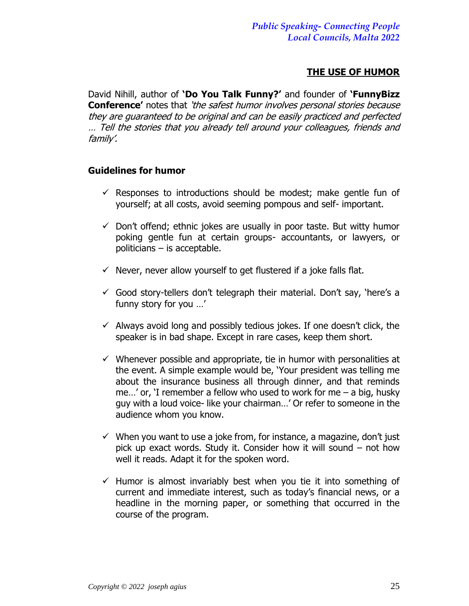# **THE USE OF HUMOR**

David Nihill, author of **'Do You Talk Funny?'** and founder of **'FunnyBizz Conference'** notes that 'the safest humor involves personal stories because they are guaranteed to be original and can be easily practiced and perfected … Tell the stories that you already tell around your colleagues, friends and family'.

## **Guidelines for humor**

- $\checkmark$  Responses to introductions should be modest; make gentle fun of yourself; at all costs, avoid seeming pompous and self- important.
- $\checkmark$  Don't offend; ethnic jokes are usually in poor taste. But witty humor poking gentle fun at certain groups- accountants, or lawyers, or politicians – is acceptable.
- $\checkmark$  Never, never allow yourself to get flustered if a joke falls flat.
- $\checkmark$  Good story-tellers don't telegraph their material. Don't say, 'here's a funny story for you …'
- $\checkmark$  Always avoid long and possibly tedious jokes. If one doesn't click, the speaker is in bad shape. Except in rare cases, keep them short.
- $\checkmark$  Whenever possible and appropriate, tie in humor with personalities at the event. A simple example would be, 'Your president was telling me about the insurance business all through dinner, and that reminds me...' or, 'I remember a fellow who used to work for me  $-$  a big, husky guy with a loud voice- like your chairman…' Or refer to someone in the audience whom you know.
- $\checkmark$  When you want to use a joke from, for instance, a magazine, don't just pick up exact words. Study it. Consider how it will sound – not how well it reads. Adapt it for the spoken word.
- $\checkmark$  Humor is almost invariably best when you tie it into something of current and immediate interest, such as today's financial news, or a headline in the morning paper, or something that occurred in the course of the program.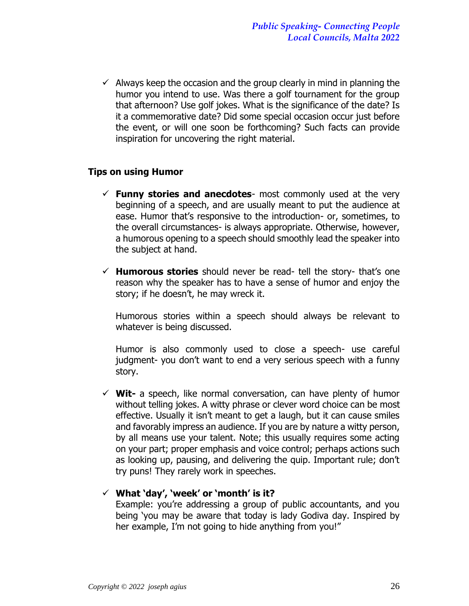$\checkmark$  Always keep the occasion and the group clearly in mind in planning the humor you intend to use. Was there a golf tournament for the group that afternoon? Use golf jokes. What is the significance of the date? Is it a commemorative date? Did some special occasion occur just before the event, or will one soon be forthcoming? Such facts can provide inspiration for uncovering the right material.

## **Tips on using Humor**

- $\checkmark$  **Funny stories and anecdotes** most commonly used at the very beginning of a speech, and are usually meant to put the audience at ease. Humor that's responsive to the introduction- or, sometimes, to the overall circumstances- is always appropriate. Otherwise, however, a humorous opening to a speech should smoothly lead the speaker into the subject at hand.
- ✓ **Humorous stories** should never be read- tell the story- that's one reason why the speaker has to have a sense of humor and enjoy the story; if he doesn't, he may wreck it.

Humorous stories within a speech should always be relevant to whatever is being discussed.

Humor is also commonly used to close a speech- use careful judgment- you don't want to end a very serious speech with a funny story.

 $\checkmark$  Wit- a speech, like normal conversation, can have plenty of humor without telling jokes. A witty phrase or clever word choice can be most effective. Usually it isn't meant to get a laugh, but it can cause smiles and favorably impress an audience. If you are by nature a witty person, by all means use your talent. Note; this usually requires some acting on your part; proper emphasis and voice control; perhaps actions such as looking up, pausing, and delivering the quip. Important rule; don't try puns! They rarely work in speeches.

#### ✓ **What 'day', 'week' or 'month' is it?**

Example: you're addressing a group of public accountants, and you being 'you may be aware that today is lady Godiva day. Inspired by her example, I'm not going to hide anything from you!"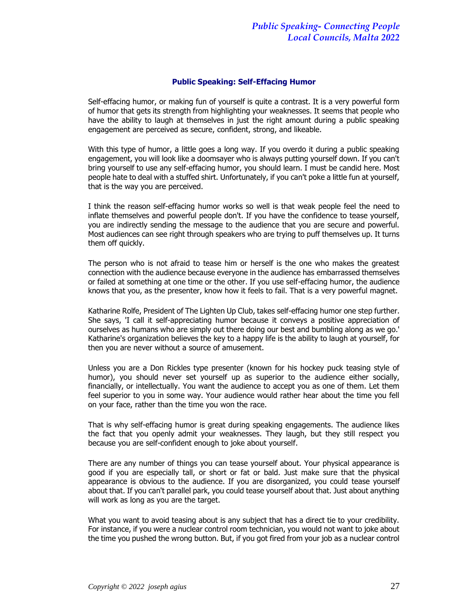#### **Public Speaking: Self-Effacing Humor**

Self-effacing humor, or making fun of yourself is quite a contrast. It is a very powerful form of humor that gets its strength from highlighting your weaknesses. It seems that people who have the ability to laugh at themselves in just the right amount during a public speaking engagement are perceived as secure, confident, strong, and likeable.

With this type of humor, a little goes a long way. If you overdo it during a public speaking engagement, you will look like a doomsayer who is always putting yourself down. If you can't bring yourself to use any self-effacing humor, you should learn. I must be candid here. Most people hate to deal with a stuffed shirt. Unfortunately, if you can't poke a little fun at yourself, that is the way you are perceived.

I think the reason self-effacing humor works so well is that weak people feel the need to inflate themselves and powerful people don't. If you have the confidence to tease yourself, you are indirectly sending the message to the audience that you are secure and powerful. Most audiences can see right through speakers who are trying to puff themselves up. It turns them off quickly.

The person who is not afraid to tease him or herself is the one who makes the greatest connection with the audience because everyone in the audience has embarrassed themselves or failed at something at one time or the other. If you use self-effacing humor, the audience knows that you, as the presenter, know how it feels to fail. That is a very powerful magnet.

Katharine Rolfe, President of The Lighten Up Club, takes self-effacing humor one step further. She says, 'I call it self-appreciating humor because it conveys a positive appreciation of ourselves as humans who are simply out there doing our best and bumbling along as we go.' Katharine's organization believes the key to a happy life is the ability to laugh at yourself, for then you are never without a source of amusement.

Unless you are a Don Rickles type presenter (known for his hockey puck teasing style of humor), you should never set yourself up as superior to the audience either socially, financially, or intellectually. You want the audience to accept you as one of them. Let them feel superior to you in some way. Your audience would rather hear about the time you fell on your face, rather than the time you won the race.

That is why self-effacing humor is great during speaking engagements. The audience likes the fact that you openly admit your weaknesses. They laugh, but they still respect you because you are self-confident enough to joke about yourself.

There are any number of things you can tease yourself about. Your physical appearance is good if you are especially tall, or short or fat or bald. Just make sure that the physical appearance is obvious to the audience. If you are disorganized, you could tease yourself about that. If you can't parallel park, you could tease yourself about that. Just about anything will work as long as you are the target.

What you want to avoid teasing about is any subject that has a direct tie to your credibility. For instance, if you were a nuclear control room technician, you would not want to joke about the time you pushed the wrong button. But, if you got fired from your job as a nuclear control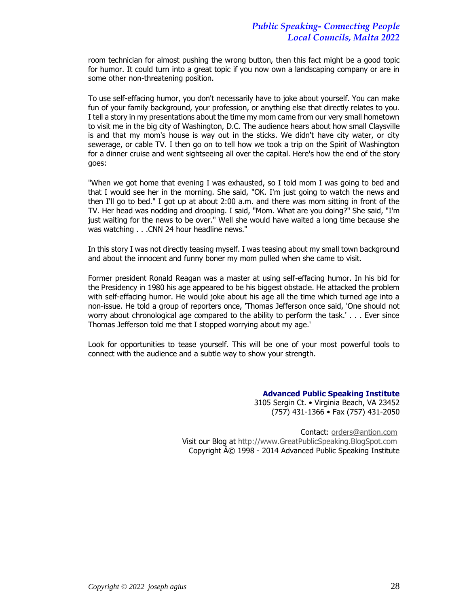room technician for almost pushing the wrong button, then this fact might be a good topic for humor. It could turn into a great topic if you now own a landscaping company or are in some other non-threatening position.

To use self-effacing humor, you don't necessarily have to joke about yourself. You can make fun of your family background, your profession, or anything else that directly relates to you. I tell a story in my presentations about the time my mom came from our very small hometown to visit me in the big city of Washington, D.C. The audience hears about how small Claysville is and that my mom's house is way out in the sticks. We didn't have city water, or city sewerage, or cable TV. I then go on to tell how we took a trip on the Spirit of Washington for a dinner cruise and went sightseeing all over the capital. Here's how the end of the story goes:

"When we got home that evening I was exhausted, so I told mom I was going to bed and that I would see her in the morning. She said, "OK. I'm just going to watch the news and then I'll go to bed." I got up at about 2:00 a.m. and there was mom sitting in front of the TV. Her head was nodding and drooping. I said, "Mom. What are you doing?" She said, "I'm just waiting for the news to be over." Well she would have waited a long time because she was watching . . .CNN 24 hour headline news."

In this story I was not directly teasing myself. I was teasing about my small town background and about the innocent and funny boner my mom pulled when she came to visit.

Former president Ronald Reagan was a master at using self-effacing humor. In his bid for the Presidency in 1980 his age appeared to be his biggest obstacle. He attacked the problem with self-effacing humor. He would joke about his age all the time which turned age into a non-issue. He told a group of reporters once, 'Thomas Jefferson once said, 'One should not worry about chronological age compared to the ability to perform the task.' . . . Ever since Thomas Jefferson told me that I stopped worrying about my age.'

Look for opportunities to tease yourself. This will be one of your most powerful tools to connect with the audience and a subtle way to show your strength.

> **Advanced Public Speaking Institute** 3105 Sergin Ct. • Virginia Beach, VA 23452 (757) 431-1366 • Fax (757) 431-2050

Contact: [orders@antion.com](mailto:orders@antion.com) Visit our Blog at [http://www.GreatPublicSpeaking.BlogSpot.com](http://www.greatpublicspeaking.blogspot.com/) Copyright  $\widehat{A}$ C 1998 - 2014 Advanced Public Speaking Institute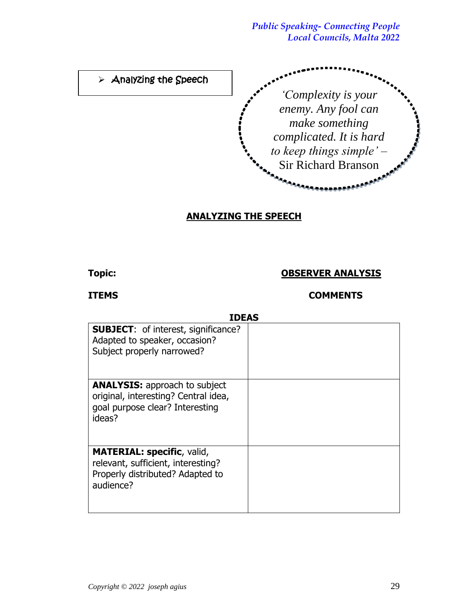

# **ANALYZING THE SPEECH**

#### **Topic: OBSERVER ANALYSIS**

#### **ITEMS COMMENTS**

| <b>SUBJECT:</b> of interest, significance?<br>Adapted to speaker, occasion?<br>Subject properly narrowed?                 |  |
|---------------------------------------------------------------------------------------------------------------------------|--|
| <b>ANALYSIS:</b> approach to subject<br>original, interesting? Central idea,<br>goal purpose clear? Interesting<br>ideas? |  |
| <b>MATERIAL: specific, valid,</b><br>relevant, sufficient, interesting?<br>Properly distributed? Adapted to<br>audience?  |  |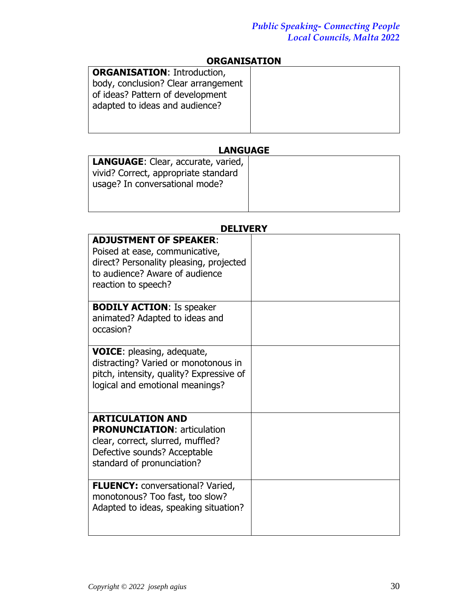#### **ORGANISATION**

| <b>ORGANISATION: Introduction,</b>  |  |
|-------------------------------------|--|
| body, conclusion? Clear arrangement |  |
| of ideas? Pattern of development    |  |
| adapted to ideas and audience?      |  |
|                                     |  |
|                                     |  |

#### **LANGUAGE**

| LANGUAGE: Clear, accurate, varied, I<br>vivid? Correct, appropriate standard |  |
|------------------------------------------------------------------------------|--|
| usage? In conversational mode?                                               |  |
|                                                                              |  |

# **ADJUSTMENT OF SPEAKER**: Poised at ease, communicative, direct? Personality pleasing, projected to audience? Aware of audience reaction to speech? **BODILY ACTION**: Is speaker animated? Adapted to ideas and occasion? **VOICE**: pleasing, adequate, distracting? Varied or monotonous in pitch, intensity, quality? Expressive of logical and emotional meanings? **ARTICULATION AND PRONUNCIATION**: articulation clear, correct, slurred, muffled? Defective sounds? Acceptable standard of pronunciation? **FLUENCY:** conversational? Varied, monotonous? Too fast, too slow? Adapted to ideas, speaking situation?

#### **DELIVERY**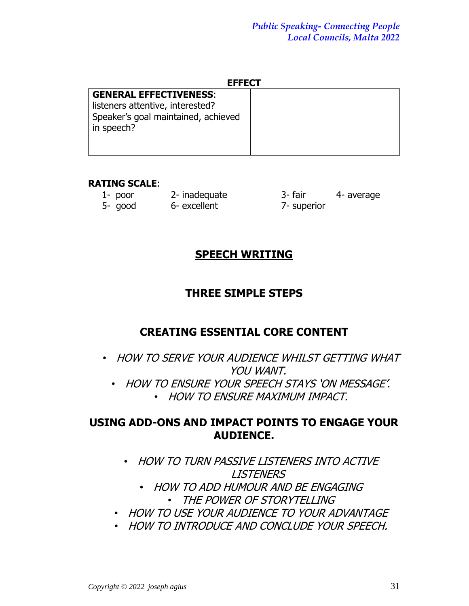| FEEKCT                                                                                                                 |  |  |  |  |
|------------------------------------------------------------------------------------------------------------------------|--|--|--|--|
| <b>GENERAL EFFECTIVENESS:</b><br>listeners attentive, interested?<br>Speaker's goal maintained, achieved<br>in speech? |  |  |  |  |

## **RATING SCALE**:

| 1- poor | 2- inadequate | 3-fair      | 4- average |
|---------|---------------|-------------|------------|
| 5-good  | 6- excellent  | 7- superior |            |

# **SPEECH WRITING**

# **THREE SIMPLE STEPS**

# **CREATING ESSENTIAL CORE CONTENT**

• HOW TO SERVE YOUR AUDIENCE WHILST GETTING WHAT YOU WANT.

• HOW TO ENSURE YOUR SPEECH STAYS 'ON MESSAGE'.

• HOW TO ENSURE MAXIMUM IMPACT.

# **USING ADD-ONS AND IMPACT POINTS TO ENGAGE YOUR AUDIENCE.**

• HOW TO TURN PASSIVE LISTENERS INTO ACTIVE LISTENERS

- HOW TO ADD HUMOUR AND BE ENGAGING • THE POWER OF STORYTELLING
- HOW TO USE YOUR AUDIENCE TO YOUR ADVANTAGE
- HOW TO INTRODUCE AND CONCLUDE YOUR SPEECH.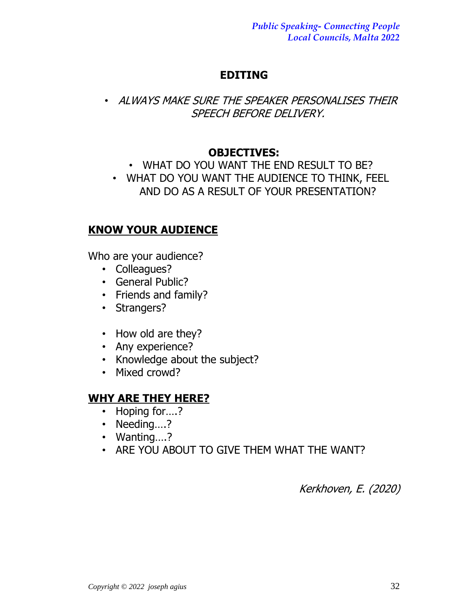# **EDITING**

• ALWAYS MAKE SURE THE SPEAKER PERSONALISES THEIR SPEECH BEFORE DELIVERY.

# **OBJECTIVES:**

• WHAT DO YOU WANT THE END RESULT TO BE? • WHAT DO YOU WANT THE AUDIENCE TO THINK, FEEL AND DO AS A RESULT OF YOUR PRESENTATION?

# **KNOW YOUR AUDIENCE**

Who are your audience?

- Colleagues?
- General Public?
- Friends and family?
- Strangers?
- How old are they?
- Any experience?
- Knowledge about the subject?
- Mixed crowd?

# **WHY ARE THEY HERE?**

- Hoping for....?
- Needing....?
- Wanting….?
- ARE YOU ABOUT TO GIVE THEM WHAT THE WANT?

Kerkhoven, E. (2020)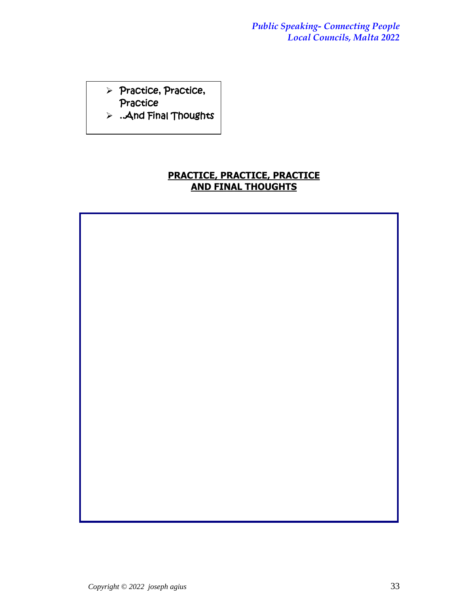- ➢ Practice, Practice, Practice
- ➢ ..And Final Thoughts

#### **PRACTICE, PRACTICE, PRACTICE AND FINAL THOUGHTS**

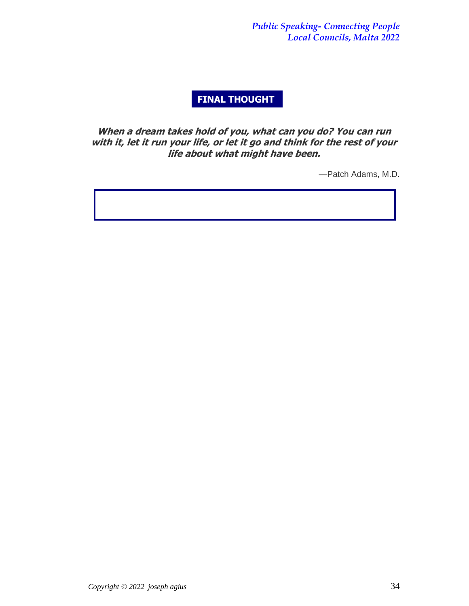# **FINAL THOUGHT**

### **When a dream takes hold of you, what can you do? You can run with it, let it run your life, or let it go and think for the rest of your life about what might have been.**

—Patch Adams, M.D.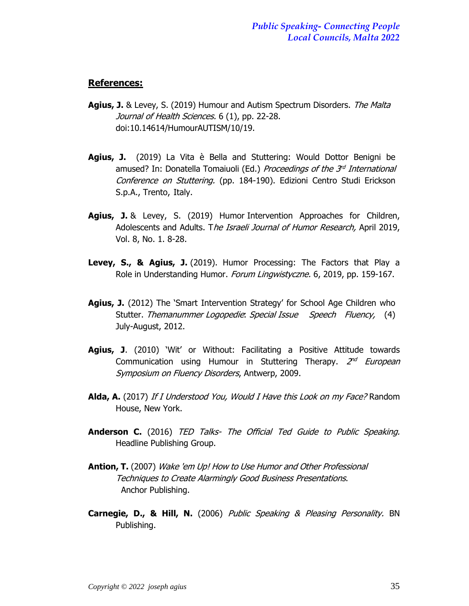### **References:**

- **Agius, J.** & Levey, S. (2019) Humour and Autism Spectrum Disorders. The Malta Journal of Health Sciences. 6 (1), pp. 22-28. doi:10.14614/HumourAUTISM/10/19.
- **Agius, J.** (2019) La Vita è Bella and Stuttering: Would Dottor Benigni be amused? In: Donatella Tomaiuoli (Ed.) Proceedings of the 3<sup>rd</sup> International Conference on Stuttering. (pp. 184-190). Edizioni Centro Studi Erickson S.p.A., Trento, Italy.
- **Agius, J.** & Levey, S. (2019) Humor Intervention Approaches for Children, Adolescents and Adults. The Israeli Journal of Humor Research, April 2019, Vol. 8, No. 1. 8-28.
- **Levey, S., & Agius, J.** (2019). Humor Processing: The Factors that Play a Role in Understanding Humor. Forum Lingwistyczne. 6, 2019, pp. 159-167.
- **Agius, J.** (2012) The 'Smart Intervention Strategy' for School Age Children who Stutter. Themanummer Logopedie: Special Issue Speech Fluency, (4) July-August, 2012.
- **Agius, J**. (2010) 'Wit' or Without: Facilitating a Positive Attitude towards Communication using Humour in Stuttering Therapy. 2<sup>nd</sup> European Symposium on Fluency Disorders, Antwerp, 2009.
- **Alda, A.** (2017) If I Understood You, Would I Have this Look on my Face? Random House, New York.
- **Anderson C.** (2016) TED Talks- The Official Ted Guide to Public Speaking. Headline Publishing Group.
- **Antion, T.** (2007) Wake 'em Up! How to Use Humor and Other Professional Techniques to Create Alarmingly Good Business Presentations. Anchor Publishing.
- **Carnegie, D., & Hill, N.** (2006) Public Speaking & Pleasing Personality. BN Publishing.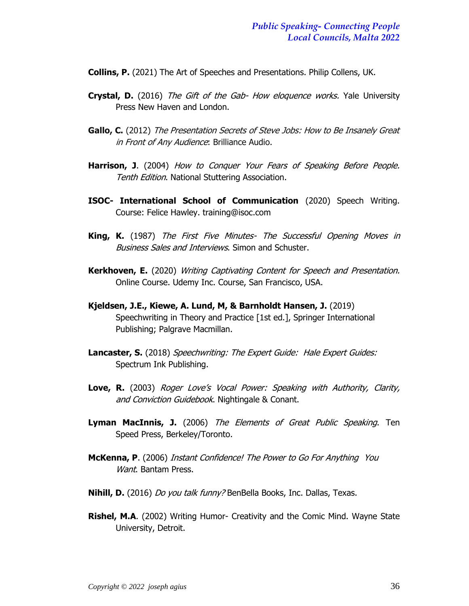- **Collins, P.** (2021) The Art of Speeches and Presentations. Philip Collens, UK.
- **Crystal, D.** (2016) The Gift of the Gab- How eloquence works. Yale University Press New Haven and London.
- **Gallo, C.** (2012) The Presentation Secrets of Steve Jobs: How to Be Insanely Great in Front of Any Audience: Brilliance Audio.
- **Harrison, J**. (2004) How to Conquer Your Fears of Speaking Before People. **Tenth Edition. National Stuttering Association.**
- **ISOC- International School of Communication** (2020) Speech Writing. Course: Felice Hawley. training@isoc.com
- **King, K.** (1987) The First Five Minutes- The Successful Opening Moves in Business Sales and Interviews. Simon and Schuster.
- **Kerkhoven, E.** (2020) Writing Captivating Content for Speech and Presentation. Online Course. Udemy Inc. Course, San Francisco, USA.
- **Kjeldsen, J.E., Kiewe, A. Lund, M, & Barnholdt Hansen, J.** (2019) Speechwriting in Theory and Practice [1st ed.], Springer International Publishing; Palgrave Macmillan.
- Lancaster, S. (2018) Speechwriting: The Expert Guide: Hale Expert Guides: Spectrum Ink Publishing.
- **Love, R.** (2003) Roger Love's Vocal Power: Speaking with Authority, Clarity, and Conviction Guidebook. Nightingale & Conant.
- Lyman MacInnis, J. (2006) The Elements of Great Public Speaking. Ten Speed Press, Berkeley/Toronto.
- **McKenna, P**. (2006) Instant Confidence! The Power to Go For Anything You Want. Bantam Press.
- **Nihill, D.** (2016) *Do you talk funny?* BenBella Books, Inc. Dallas, Texas.
- **Rishel, M.A**. (2002) Writing Humor- Creativity and the Comic Mind. Wayne State University, Detroit.